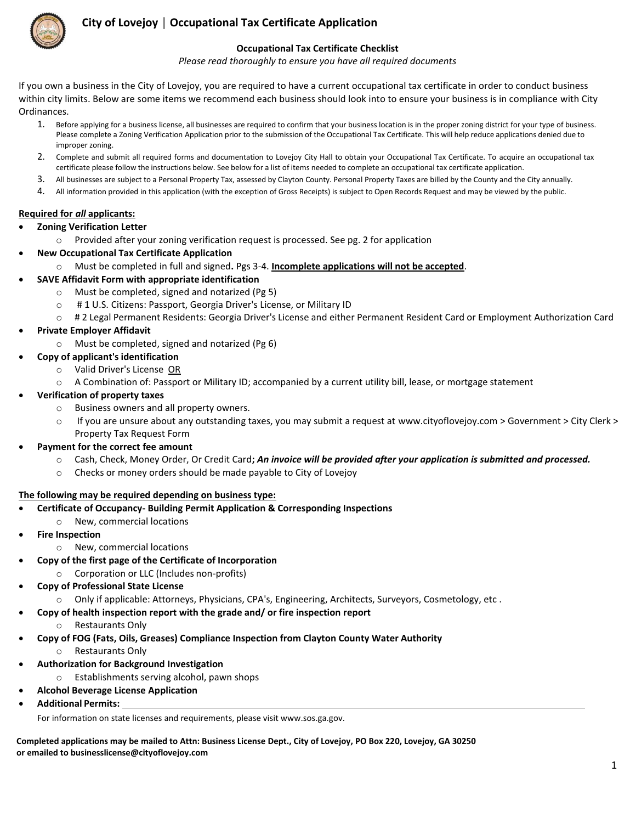

### **City of Lovejoy │ Occupational Tax Certificate Application**

#### **Occupational Tax Certificate Checklist**

*Please read thoroughly to ensure you have all required documents*

If you own a business in the City of Lovejoy, you are required to have a current occupational tax certificate in order to conduct business within city limits. Below are some items we recommend each business should look into to ensure your business is in compliance with City Ordinances.

- 1. Before applying for a business license, all businesses are required to confirm that your business location is in the proper zoning district for your type of business. Please complete a Zoning Verification Application prior to the submission of the Occupational Tax Certificate. This will help reduce applications denied due to improper zoning.
- 2. Complete and submit all required forms and documentation to Lovejoy City Hall to obtain your Occupational Tax Certificate. To acquire an occupational tax certificate please follow the instructions below. See below for a list of items needed to complete an occupational tax certificate application.
- 3. All businesses are subject to a Personal Property Tax, assessed by Clayton County. Personal Property Taxes are billed by the County and the City annually.
- 4. All information provided in this application (with the exception of Gross Receipts) is subject to Open Records Request and may be viewed by the public.

#### **Required for** *all* **applicants:**

- **Zoning Verification Letter**
	- o Provided after your zoning verification request is processed. See pg. 2 for application
	- **New Occupational Tax Certificate Application**
		- o Must be completed in full and signed**.** Pgs 3-4. **Incomplete applications will not be accepted**.
- **SAVE Affidavit Form with appropriate identification**
	- o Must be completed, signed and notarized (Pg 5)
	- o # 1 U.S. Citizens: Passport, Georgia Driver's License, or Military ID
	- o # 2 Legal Permanent Residents: Georgia Driver's License and either Permanent Resident Card or Employment Authorization Card
- **Private Employer Affidavit**
	- o Must be completed, signed and notarized (Pg 6)
	- **Copy of applicant's identification**
		- o Valid Driver's License OR
		- o A Combination of: Passport or Military ID; accompanied by a current utility bill, lease, or mortgage statement
- **Verification of property taxes**
	- o Business owners and all property owners.
	- o If you are unsure about any outstanding taxes, you may submit a request at www.cityoflovejoy.com > Government > City Clerk > Property Tax Request Form
- **Payment for the correct fee amount**
	- o Cash, Check, Money Order, Or Credit Card**;** *An invoice will be provided after your application is submitted and processed.*
	- o Checks or money orders should be made payable to City of Lovejoy

#### **The following may be required depending on business type:**

- **Certificate of Occupancy- Building Permit Application & Corresponding Inspections**
	- o New, commercial locations
- **Fire Inspection**
	- o New, commercial locations
	- **Copy of the first page of the Certificate of Incorporation**
		- o Corporation or LLC (Includes non-profits)
- **Copy of Professional State License**
	- o Only if applicable: Attorneys, Physicians, CPA's, Engineering, Architects, Surveyors, Cosmetology, etc .
	- **Copy of health inspection report with the grade and/ or fire inspection report**
		- o Restaurants Only
- **Copy of FOG (Fats, Oils, Greases) Compliance Inspection from Clayton County Water Authority**
	- o Restaurants Only
	- **Authorization for Background Investigation**
		- o Establishments serving alcohol, pawn shops
- **Alcohol Beverage License Application**
- **Additional Permits:**

For information on state licenses and requirements, please vi[sit www.sos.ga.gov.](http://www.sos.ga.gov/)

**Completed applications may be mailed to Attn: Business License Dept., City of Lovejoy, PO Box 220, Lovejoy, GA 30250 or emailed to businesslicense@cityoflovejoy.com**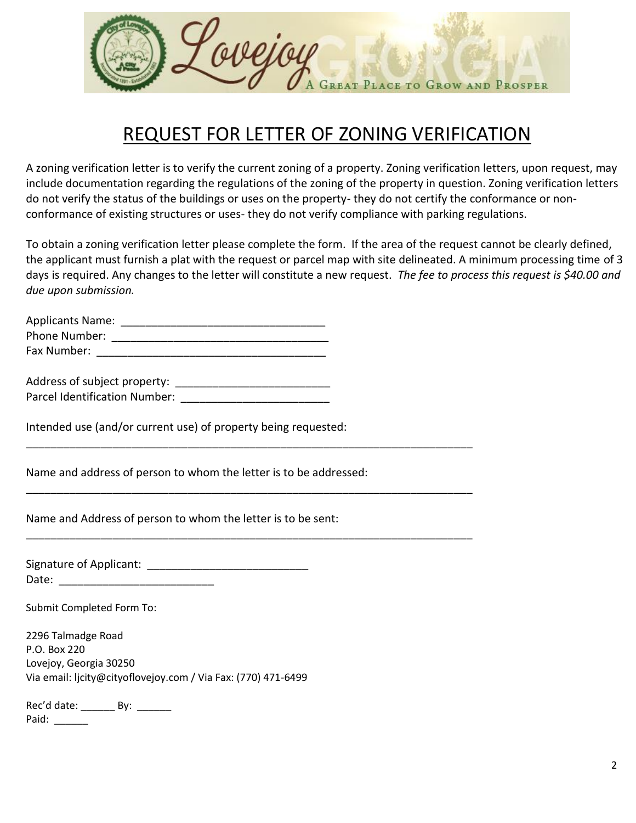

# REQUEST FOR LETTER OF ZONING VERIFICATION

A zoning verification letter is to verify the current zoning of a property. Zoning verification letters, upon request, may include documentation regarding the regulations of the zoning of the property in question. Zoning verification letters do not verify the status of the buildings or uses on the property- they do not certify the conformance or nonconformance of existing structures or uses- they do not verify compliance with parking regulations.

To obtain a zoning verification letter please complete the form. If the area of the request cannot be clearly defined, the applicant must furnish a plat with the request or parcel map with site delineated. A minimum processing time of 3 days is required. Any changes to the letter will constitute a new request. *The fee to process this request is \$40.00 and due upon submission.*

| <b>Applicants Name:</b> |  |
|-------------------------|--|
| Phone Number:           |  |
| Fax Number:             |  |

| Address of subject property:         |  |
|--------------------------------------|--|
| <b>Parcel Identification Number:</b> |  |

Intended use (and/or current use) of property being requested:

Name and address of person to whom the letter is to be addressed:

\_\_\_\_\_\_\_\_\_\_\_\_\_\_\_\_\_\_\_\_\_\_\_\_\_\_\_\_\_\_\_\_\_\_\_\_\_\_\_\_\_\_\_\_\_\_\_\_\_\_\_\_\_\_\_\_\_\_\_\_\_\_\_\_\_\_\_\_\_\_\_\_

\_\_\_\_\_\_\_\_\_\_\_\_\_\_\_\_\_\_\_\_\_\_\_\_\_\_\_\_\_\_\_\_\_\_\_\_\_\_\_\_\_\_\_\_\_\_\_\_\_\_\_\_\_\_\_\_\_\_\_\_\_\_\_\_\_\_\_\_\_\_\_\_

\_\_\_\_\_\_\_\_\_\_\_\_\_\_\_\_\_\_\_\_\_\_\_\_\_\_\_\_\_\_\_\_\_\_\_\_\_\_\_\_\_\_\_\_\_\_\_\_\_\_\_\_\_\_\_\_\_\_\_\_\_\_\_\_\_\_\_\_\_\_\_\_

Name and Address of person to whom the letter is to be sent:

Signature of Applicant: \_\_\_\_\_\_\_\_\_\_\_\_\_\_\_\_\_\_\_\_\_\_\_\_\_\_ Date:

Submit Completed Form To:

2296 Talmadge Road P.O. Box 220 Lovejoy, Georgia 30250 Via email: ljcity@cityoflovejoy.com / Via Fax: (770) 471-6499

Rec'd date: \_\_\_\_\_\_\_\_\_ By: \_\_\_\_\_\_\_ Paid: \_\_\_\_\_\_\_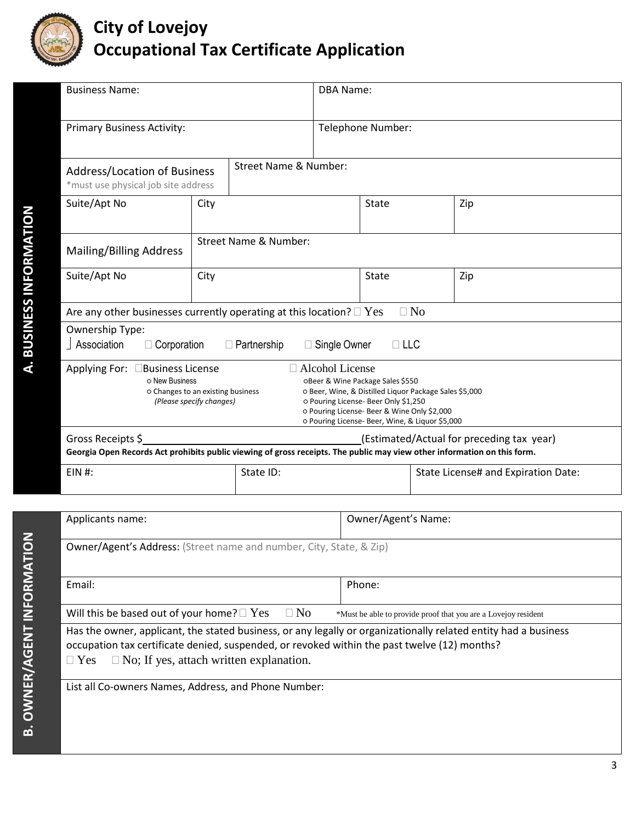

# **City of Lovejoy Occupational Tax Certificate Application**

| <b>Business Name:</b>                                                                                                                                                                                                                                                                                                                                                                  |                                                                                        |              | DBA Name:         |       |                                     |     |  |
|----------------------------------------------------------------------------------------------------------------------------------------------------------------------------------------------------------------------------------------------------------------------------------------------------------------------------------------------------------------------------------------|----------------------------------------------------------------------------------------|--------------|-------------------|-------|-------------------------------------|-----|--|
| <b>Primary Business Activity:</b>                                                                                                                                                                                                                                                                                                                                                      |                                                                                        |              | Telephone Number: |       |                                     |     |  |
| <b>Street Name &amp; Number:</b><br><b>Address/Location of Business</b><br>*must use physical job site address                                                                                                                                                                                                                                                                         |                                                                                        |              |                   |       |                                     |     |  |
| Suite/Apt No                                                                                                                                                                                                                                                                                                                                                                           | City                                                                                   |              |                   | State |                                     | Zip |  |
| Mailing/Billing Address                                                                                                                                                                                                                                                                                                                                                                | Street Name & Number:                                                                  |              |                   |       |                                     |     |  |
| Suite/Apt No                                                                                                                                                                                                                                                                                                                                                                           | City                                                                                   | <b>State</b> |                   |       |                                     | Zip |  |
|                                                                                                                                                                                                                                                                                                                                                                                        | $\Box$ No<br>Are any other businesses currently operating at this location? $\Box$ Yes |              |                   |       |                                     |     |  |
| Ownership Type:<br>Association<br>$\Box$ Corporation<br>Single Owner<br>$\Box$ LLC<br>$\Box$ Partnership                                                                                                                                                                                                                                                                               |                                                                                        |              |                   |       |                                     |     |  |
| $\Box$ Alcohol License<br>Applying For:<br>Business License<br>o New Business<br>OBeer & Wine Package Sales \$550<br>o Changes to an existing business<br>O Beer, Wine, & Distilled Liquor Package Sales \$5,000<br>o Pouring License- Beer Only \$1,250<br>(Please specify changes)<br>o Pouring License- Beer & Wine Only \$2,000<br>o Pouring License- Beer, Wine, & Liquor \$5,000 |                                                                                        |              |                   |       |                                     |     |  |
| Gross Receipts \$<br>(Estimated/Actual for preceding tax year)<br>Georgia Open Records Act prohibits public viewing of gross receipts. The public may view other information on this form.                                                                                                                                                                                             |                                                                                        |              |                   |       |                                     |     |  |
| $EIN$ #:                                                                                                                                                                                                                                                                                                                                                                               |                                                                                        | State ID:    |                   |       | State License# and Expiration Date: |     |  |

**A. BUSINESS INFORMATION**

A. BUSINESS INFORMATION

| Applicants name:                                                                                                                                                                                                                                                                | Owner/Agent's Name:                                            |  |
|---------------------------------------------------------------------------------------------------------------------------------------------------------------------------------------------------------------------------------------------------------------------------------|----------------------------------------------------------------|--|
| <b>Owner/Agent's Address:</b> (Street name and number, City, State, & Zip)                                                                                                                                                                                                      |                                                                |  |
| Email:                                                                                                                                                                                                                                                                          | Phone:                                                         |  |
| Will this be based out of your home? $\Box$ Yes $\Box$ No                                                                                                                                                                                                                       | *Must be able to provide proof that you are a Lovejoy resident |  |
| Has the owner, applicant, the stated business, or any legally or organizationally related entity had a business<br>occupation tax certificate denied, suspended, or revoked within the past twelve (12) months?<br>$\Box$ No; If yes, attach written explanation.<br>$\Box$ Yes |                                                                |  |

List all Co-owners Names, Address, and Phone Number: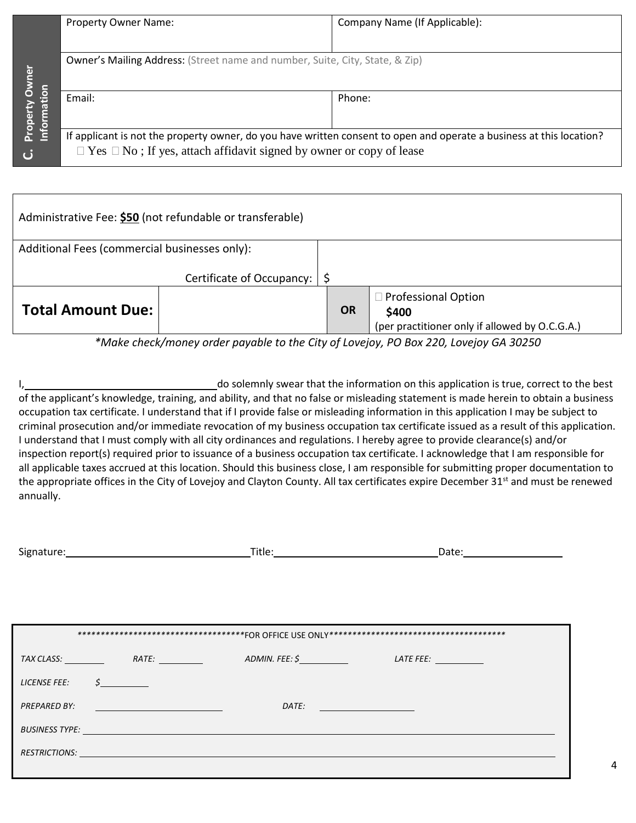|                             | <b>Property Owner Name:</b>                                                         | Company Name (If Applicable):                                                                                        |
|-----------------------------|-------------------------------------------------------------------------------------|----------------------------------------------------------------------------------------------------------------------|
|                             |                                                                                     |                                                                                                                      |
| vner<br>$\overline{\bf{5}}$ | <b>Owner's Mailing Address:</b> (Street name and number, Suite, City, State, & Zip) |                                                                                                                      |
| <b>Informa</b><br>roper     | Email:                                                                              | Phone:                                                                                                               |
| ن                           | $\Box$ Yes $\Box$ No; If yes, attach affidavit signed by owner or copy of lease     | If applicant is not the property owner, do you have written consent to open and operate a business at this location? |

| Administrative Fee: \$50 (not refundable or transferable) |                           |           |                                                |
|-----------------------------------------------------------|---------------------------|-----------|------------------------------------------------|
| Additional Fees (commercial businesses only):             |                           |           |                                                |
|                                                           | Certificate of Occupancy: |           |                                                |
|                                                           |                           |           | □ Professional Option                          |
| <b>Total Amount Due:</b>                                  |                           | <b>OR</b> | \$400                                          |
|                                                           |                           |           | (per practitioner only if allowed by O.C.G.A.) |

*\*Make check/money order payable to the City of Lovejoy, PO Box 220, Lovejoy GA 30250*

I, 1. All the information on this application is true, correct to the best of the applicant's knowledge, training, and ability, and that no false or misleading statement is made herein to obtain a business occupation tax certificate. I understand that if I provide false or misleading information in this application I may be subject to criminal prosecution and/or immediate revocation of my business occupation tax certificate issued as a result of this application. I understand that I must comply with all city ordinances and regulations. I hereby agree to provide clearance(s) and/or inspection report(s) required prior to issuance of a business occupation tax certificate. I acknowledge that I am responsible for all applicable taxes accrued at this location. Should this business close, I am responsible for submitting proper documentation to the appropriate offices in the City of Lovejoy and Clayton County. All tax certificates expire December 31<sup>st</sup> and must be renewed annually.

|                     |                                                                                                                       |                                                                                                                                                                                                                                      | *********************************FOR OFFICE USE ONLY***********************************                                                                                                                                             |
|---------------------|-----------------------------------------------------------------------------------------------------------------------|--------------------------------------------------------------------------------------------------------------------------------------------------------------------------------------------------------------------------------------|-------------------------------------------------------------------------------------------------------------------------------------------------------------------------------------------------------------------------------------|
|                     |                                                                                                                       |                                                                                                                                                                                                                                      | <b>LATE FEE:</b> The contract of the contract of the contract of the contract of the contract of the contract of the contract of the contract of the contract of the contract of the contract of the contract of the contract of th |
| <b>LICENSE FEE:</b> | $\sharp$ and $\sharp$                                                                                                 |                                                                                                                                                                                                                                      |                                                                                                                                                                                                                                     |
| PREPARED BY:        | <u> 1980 - Johann Barn, mars and de Branch Barn, mars and de Branch Barn, mars and de Branch Barn, mars and de Br</u> | DATE:                                                                                                                                                                                                                                | <u> 1980 - John Barn Barn, amerikansk politiker (</u>                                                                                                                                                                               |
|                     |                                                                                                                       | <b>BUSINESS TYPE:</b> The contract of the contract of the contract of the contract of the contract of the contract of the contract of the contract of the contract of the contract of the contract of the contract of the contract   |                                                                                                                                                                                                                                     |
|                     |                                                                                                                       | RESTRICTIONS: <u>Contract of the contract of the contract of the contract of the contract of the contract of the contract of the contract of the contract of the contract of the contract of the contract of the contract of the</u> |                                                                                                                                                                                                                                     |
|                     |                                                                                                                       |                                                                                                                                                                                                                                      |                                                                                                                                                                                                                                     |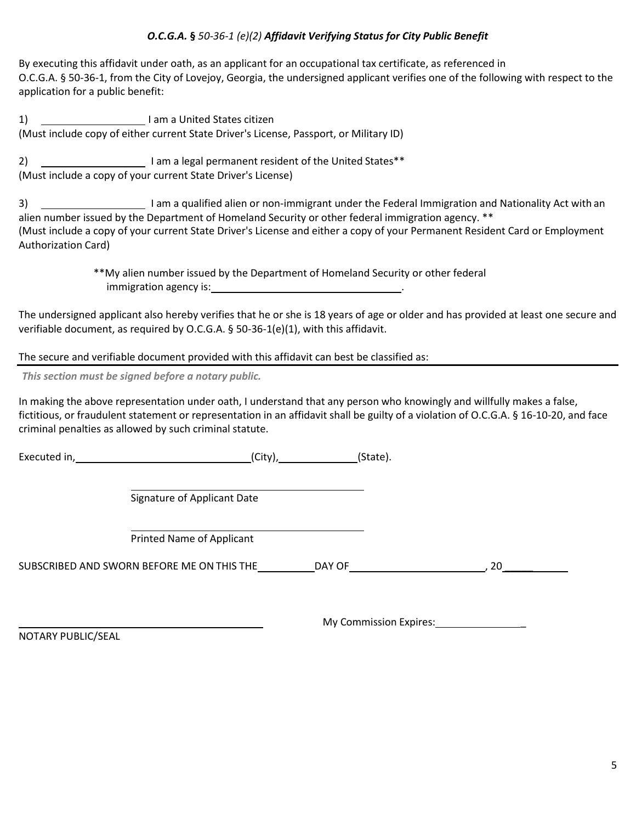#### *O.C.G.A.* **§** *50-36-1 (e)(2) Affidavit Verifying Status for City Public Benefit*

By executing this affidavit under oath, as an applicant for an occupational tax certificate, as referenced in O.C.G.A. § 50-36-1, from the City of Lovejoy, Georgia, the undersigned applicant verifies one of the following with respect to the application for a public benefit:

1) I am a United States citizen (Must include copy of either current State Driver's License, Passport, or Military ID)

2) **I am a legal permanent resident of the United States\*\*** (Must include a copy of your current State Driver's License)

3) <u>Immer and I am a qualified alien or non-immigrant under the Federal Immigration and Nationality Act with an</u> alien number issued by the Department of Homeland Security or other federal immigration agency. \*\* (Must include a copy of your current State Driver's License and either a copy of your Permanent Resident Card or Employment Authorization Card)

> \*\*My alien number issued by the Department of Homeland Security or other federal immigration agency is: .

The undersigned applicant also hereby verifies that he or she is 18 years of age or older and has provided at least one secure and verifiable document, as required by O.C.G.A. § 50-36-1(e)(1), with this affidavit.

The secure and verifiable document provided with this affidavit can best be classified as:

*This section must be signed before a notary public.*

In making the above representation under oath, I understand that any person who knowingly and willfully makes a false, fictitious, or fraudulent statement or representation in an affidavit shall be guilty of a violation of O.C.G.A. § 16-10-20, and face criminal penalties as allowed by such criminal statute.

Executed in, (City), (State).

Signature of Applicant Date

Printed Name of Applicant

SUBSCRIBED AND SWORN BEFORE ME ON THIS THE GAY OF THE RESIDENCE AND SWORN BEFORE ME ON THIS THE GAY OF

My Commission Expires: **With American** 

NOTARY PUBLIC/SEAL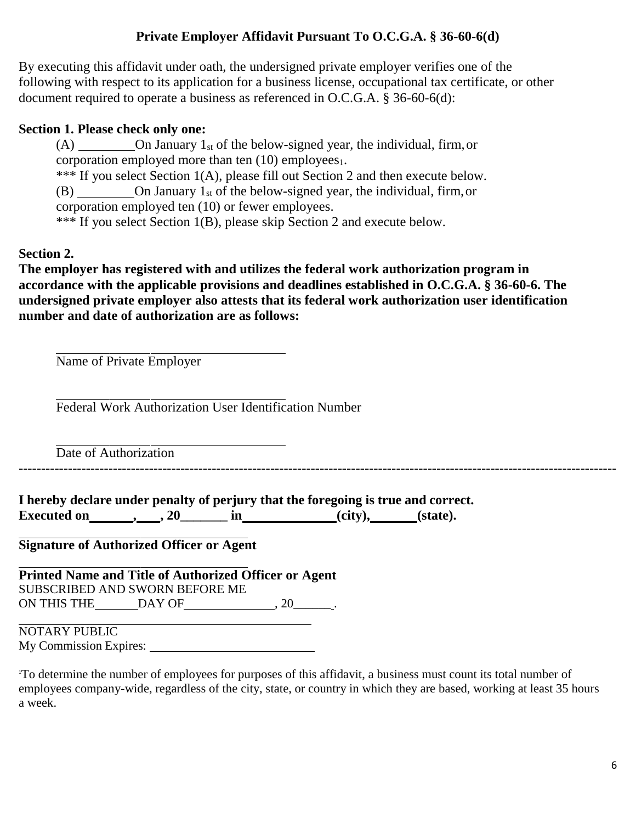## **Private Employer Affidavit Pursuant To O.C.G.A. § 36-60-6(d)**

By executing this affidavit under oath, the undersigned private employer verifies one of the following with respect to its application for a business license, occupational tax certificate, or other document required to operate a business as referenced in O.C.G.A. § 36-60-6(d):

## **Section 1. Please check only one:**

(A) On January  $1_{st}$  of the below-signed year, the individual, firm, or corporation employed more than ten  $(10)$  employees<sub>1</sub>.

\*\*\* If you select Section 1(A), please fill out Section 2 and then execute below.

 $(B)$  On January 1<sub>st</sub> of the below-signed year, the individual, firm, or

corporation employed ten (10) or fewer employees.

\*\*\* If you select Section 1(B), please skip Section 2 and execute below.

## **Section 2.**

**The employer has registered with and utilizes the federal work authorization program in accordance with the applicable provisions and deadlines established in O.C.G.A. § 36-60-6. The undersigned private employer also attests that its federal work authorization user identification number and date of authorization are as follows:**

Name of Private Employer

Federal Work Authorization User Identification Number

Date of Authorization

-------------------------------------------------------------------------------------------------------------------------------------

**I hereby declare under penalty of perjury that the foregoing is true and correct. Executed** on <u>, , , 20</u> in (city), (state).

**Signature of Authorized Officer or Agent**

**Printed Name and Title of Authorized Officer or Agent** SUBSCRIBED AND SWORN BEFORE ME ON THIS THE DAY OF  $\qquad \qquad .20$ 

 $\begin{picture}(180,10) \put(0,0){\line(1,0){100}} \put(15,0){\line(1,0){100}} \put(15,0){\line(1,0){100}} \put(15,0){\line(1,0){100}} \put(15,0){\line(1,0){100}} \put(15,0){\line(1,0){100}} \put(15,0){\line(1,0){100}} \put(15,0){\line(1,0){100}} \put(15,0){\line(1,0){100}} \put(15,0){\line(1,0){100}} \put(15,0){\line(1,0){100}}$ My Commission Expires:

<sup>1</sup>To determine the number of employees for purposes of this affidavit, a business must count its total number of employees company-wide, regardless of the city, state, or country in which they are based, working at least 35 hours a week.